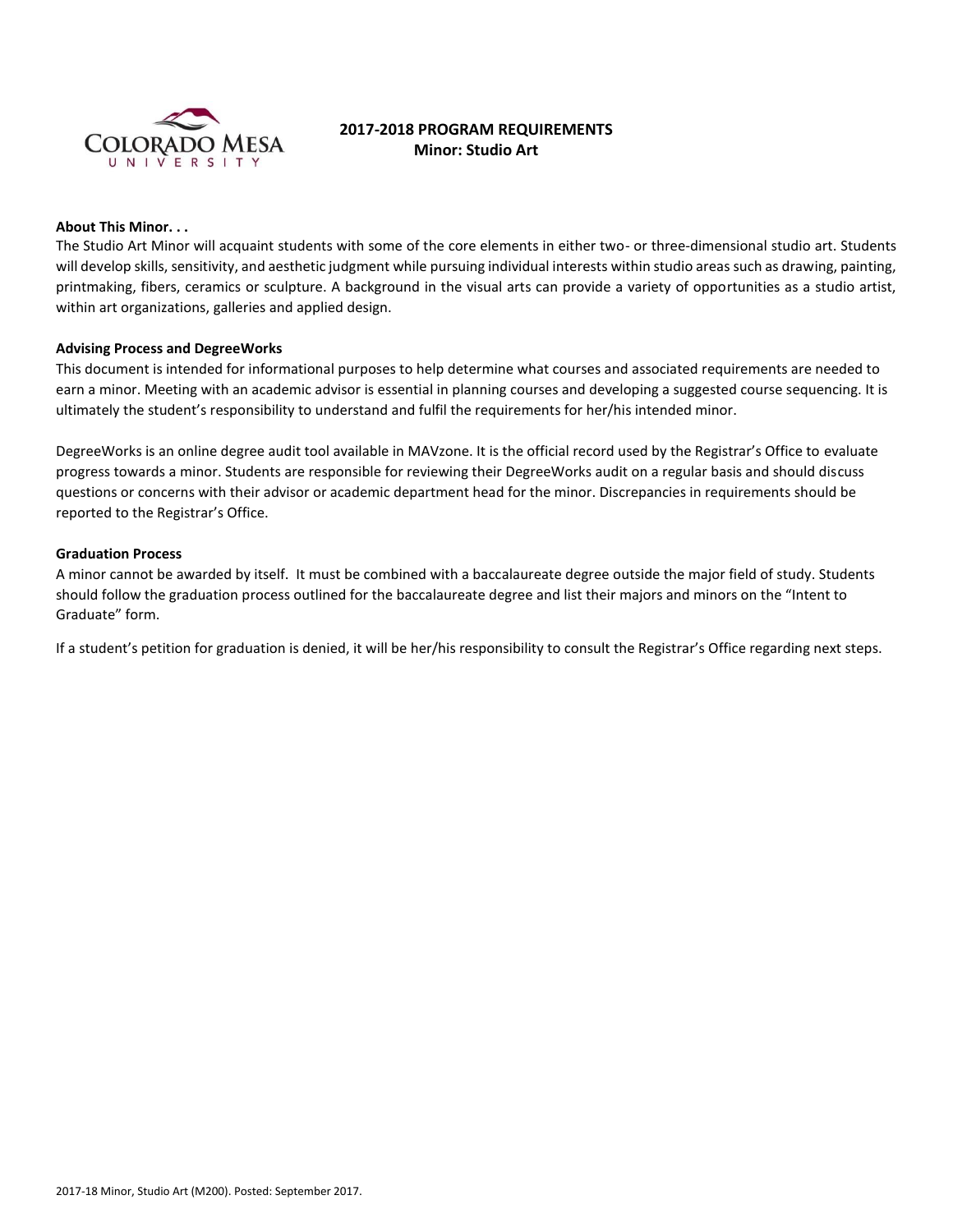

# **2017-2018 PROGRAM REQUIREMENTS Minor: Studio Art**

# **About This Minor. . .**

The Studio Art Minor will acquaint students with some of the core elements in either two- or three-dimensional studio art. Students will develop skills, sensitivity, and aesthetic judgment while pursuing individual interests within studio areas such as drawing, painting, printmaking, fibers, ceramics or sculpture. A background in the visual arts can provide a variety of opportunities as a studio artist, within art organizations, galleries and applied design.

#### **Advising Process and DegreeWorks**

This document is intended for informational purposes to help determine what courses and associated requirements are needed to earn a minor. Meeting with an academic advisor is essential in planning courses and developing a suggested course sequencing. It is ultimately the student's responsibility to understand and fulfil the requirements for her/his intended minor.

DegreeWorks is an online degree audit tool available in MAVzone. It is the official record used by the Registrar's Office to evaluate progress towards a minor. Students are responsible for reviewing their DegreeWorks audit on a regular basis and should discuss questions or concerns with their advisor or academic department head for the minor. Discrepancies in requirements should be reported to the Registrar's Office.

#### **Graduation Process**

A minor cannot be awarded by itself. It must be combined with a baccalaureate degree outside the major field of study. Students should follow the graduation process outlined for the baccalaureate degree and list their majors and minors on the "Intent to Graduate" form.

If a student's petition for graduation is denied, it will be her/his responsibility to consult the Registrar's Office regarding next steps.